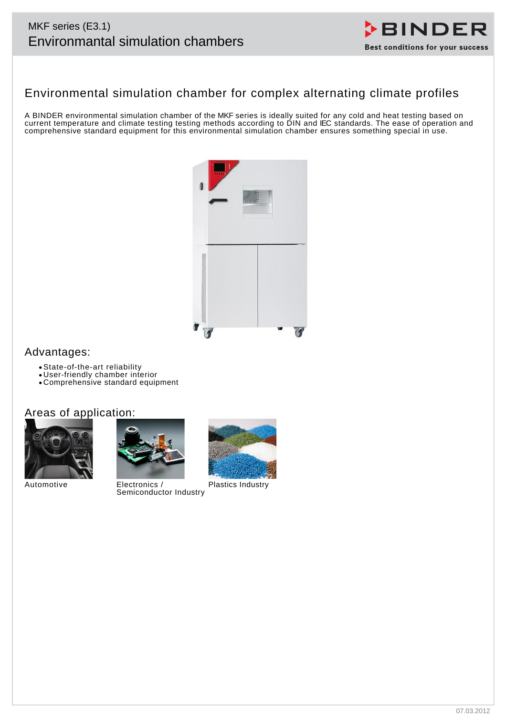# MKF series (E3.1)



# Environmental simulation chamber for complex alternating climate profiles

A BINDER environmental simulation chamber of the MKF series is ideally suited for any cold and heat testing based on current temperature and climate testing testing methods according to DIN and IEC standards. The ease of operation and comprehensive standard equipment for this environmental simulation chamber ensures something special in use.



## Advantages:

- State-of-the-art reliability
- User-friendly chamber interior
- Comprehensive standard equipment

## Areas of application:





Automotive Electronics / Semiconductor Industry



Plastics Industry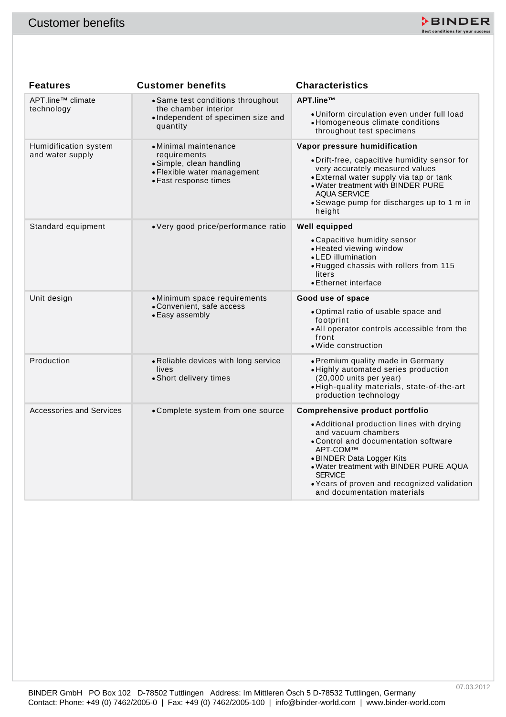

| <b>Features</b><br>APT.line <sup>™</sup> climate<br>technology<br>Humidification system | <b>Customer benefits</b><br>• Same test conditions throughout<br>the chamber interior<br>• Independent of specimen size and | <b>Characteristics</b>                                                                                                                                                                                                                                                                                                          |
|-----------------------------------------------------------------------------------------|-----------------------------------------------------------------------------------------------------------------------------|---------------------------------------------------------------------------------------------------------------------------------------------------------------------------------------------------------------------------------------------------------------------------------------------------------------------------------|
|                                                                                         |                                                                                                                             |                                                                                                                                                                                                                                                                                                                                 |
|                                                                                         |                                                                                                                             |                                                                                                                                                                                                                                                                                                                                 |
|                                                                                         | quantity                                                                                                                    | APT.line™<br>· Uniform circulation even under full load<br>• Homogeneous climate conditions<br>throughout test specimens                                                                                                                                                                                                        |
| and water supply                                                                        | • Minimal maintenance<br>requirements<br>• Simple, clean handling<br>• Flexible water management<br>• Fast response times   | Vapor pressure humidification<br>• Drift-free, capacitive humidity sensor for<br>very accurately measured values<br>• External water supply via tap or tank<br>. Water treatment with BINDER PURE<br><b>AQUA SERVICE</b><br>• Sewage pump for discharges up to 1 m in<br>height                                                 |
| Standard equipment                                                                      | • Very good price/performance ratio                                                                                         | Well equipped<br>• Capacitive humidity sensor<br>• Heated viewing window<br>• LED illumination<br>. Rugged chassis with rollers from 115<br>liters<br>• Ethernet interface                                                                                                                                                      |
| Unit design                                                                             | • Minimum space requirements<br>• Convenient, safe access<br>• Easy assembly                                                | Good use of space<br>. Optimal ratio of usable space and<br>footprint<br>. All operator controls accessible from the<br>front<br>• Wide construction                                                                                                                                                                            |
| Production                                                                              | • Reliable devices with long service<br>lives<br>• Short delivery times                                                     | • Premium quality made in Germany<br>· Highly automated series production<br>$(20,000$ units per year)<br>. High-quality materials, state-of-the-art<br>production technology                                                                                                                                                   |
| <b>Accessories and Services</b>                                                         | • Complete system from one source                                                                                           | Comprehensive product portfolio<br>• Additional production lines with drying<br>and vacuum chambers<br>• Control and documentation software<br>APT-COM™<br>• BINDER Data Logger Kits<br>. Water treatment with BINDER PURE AQUA<br><b>SERVICE</b><br>• Years of proven and recognized validation<br>and documentation materials |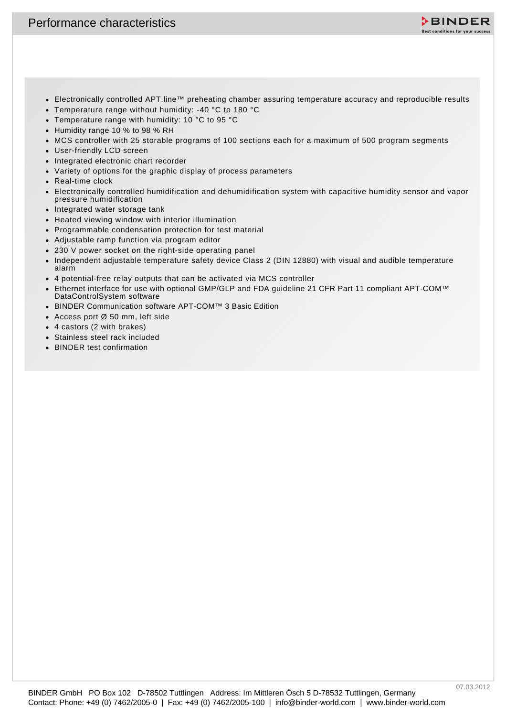

- Electronically controlled APT.line™ preheating chamber assuring temperature accuracy and reproducible results
- Temperature range without humidity: -40 °C to 180 °C
- Temperature range with humidity: 10 °C to 95 °C
- Humidity range 10 % to 98 % RH
- MCS controller with 25 storable programs of 100 sections each for a maximum of 500 program segments
- User-friendly LCD screen
- Integrated electronic chart recorder
- Variety of options for the graphic display of process parameters
- Real-time clock
- **Contact: Phone: +49** (Contract: Phone: +49 (Contact: Phone: +49 (Contact: Phone: +49 (Contact: Phone: +49 (Contact: Phone: +49 (Contact: Phone: +49 (Contact: Phone: +49 (Contact: Phone: +49 (Contact: Phone: +49 (Contact: Electronically controlled humidification and dehumidification system with capacitive humidity sensor and vapor pressure humidification
	- Integrated water storage tank
	- Heated viewing window with interior illumination
	- Programmable condensation protection for test material
	- Adjustable ramp function via program editor
	- 230 V power socket on the right-side operating panel
	- Independent adjustable temperature safety device Class 2 (DIN 12880) with visual and audible temperature alarm
	- 4 potential-free relay outputs that can be activated via MCS controller
	- Ethernet interface for use with optional GMP/GLP and FDA guideline 21 CFR Part 11 compliant APT-COM™ DataControlSystem software
	- BINDER Communication software APT-COM™ 3 Basic Edition
	- Access port Ø 50 mm, left side
	- 4 castors (2 with brakes)
	- Stainless steel rack included
	- BINDER test confirmation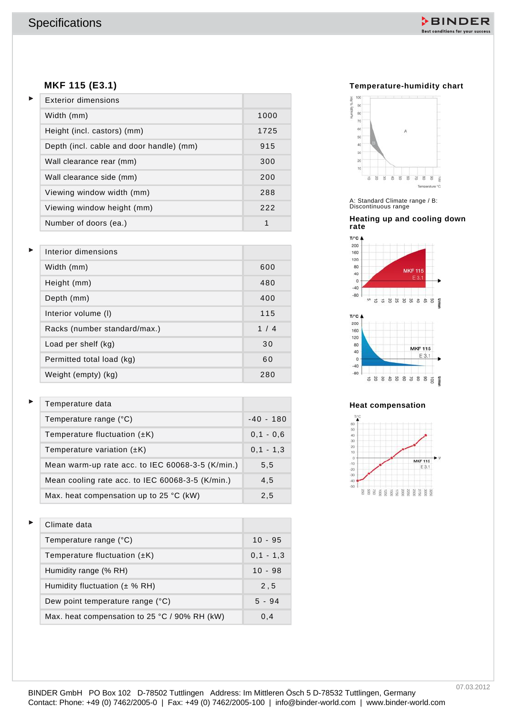

#### **MKF 115 (E3.1)**

| MKF 115 (E3.1)                                   |               | Temperature-humidity chart                                    |
|--------------------------------------------------|---------------|---------------------------------------------------------------|
| <b>Exterior dimensions</b>                       |               | нимфу%ян<br>1888<br>90 <sup>°</sup>                           |
| Width (mm)                                       | 1000          | 80<br>70                                                      |
| Height (incl. castors) (mm)                      | 1725          | 60<br>A<br>50                                                 |
| Depth (incl. cable and door handle) (mm)         | 915           | 40<br>30 <sup>°</sup>                                         |
| Wall clearance rear (mm)                         | 300           | 20 <sup>1</sup><br>10                                         |
| Wall clearance side (mm)                         | 200           | ä<br>8<br>s<br>8<br>怠<br>8<br>. 2<br>8<br>8<br>Temperature °C |
| Viewing window width (mm)                        | 288           |                                                               |
| Viewing window height (mm)                       | 222           | A: Standard Climate range / B:<br>Discontinuous range         |
| Number of doors (ea.)                            | $\mathbf{1}$  | Heating up and cooling down<br>rate                           |
|                                                  |               | $T/C$ $\triangle$<br>200                                      |
| Interior dimensions                              |               | 160<br>120                                                    |
| Width (mm)                                       | 600           | 80<br><b>MKF115</b><br>40<br>E 3.1<br>$\circ$                 |
| Height (mm)                                      | 480           | $-40$<br>$-80$                                                |
| Depth (mm)                                       | 400           | O.<br>5 5 8 5 5 5 5<br>흙<br>S<br>Vmin                         |
| Interior volume (I)                              | 115           | T/"C <b>A</b><br>200                                          |
| Racks (number standard/max.)                     | 1/4           | 160<br>120                                                    |
| Load per shelf (kg)                              | 30            | 80<br><b>MKF115</b><br>40<br>E 3.1                            |
| Permitted total load (kg)                        | 60            | $\circ$<br>$-40$                                              |
| Weight (empty) (kg)                              | 280           | $-80$<br>588588388<br>Vmin<br>ğ                               |
| Temperature data                                 |               | <b>Heat compensation</b>                                      |
| Temperature range (°C)                           | $-40 - 180$   | 60                                                            |
| Temperature fluctuation $(\pm K)$                | $0,1 - 0,6$   | 50<br>40                                                      |
| Temperature variation $(\pm K)$                  | $0, 1 - 1, 3$ | 30<br>20<br>10                                                |
| Mean warm-up rate acc. to IEC 60068-3-5 (K/min.) | 5,5           | <b>MKF115</b><br>$-10$<br>E3.1<br>$-20$                       |
| Mean cooling rate acc. to IEC 60068-3-5 (K/min.) | 4,5           | $-30$<br>$-50$                                                |
| Max. heat compensation up to 25 °C (kW)          | 2,5           |                                                               |
| Climate data                                     |               |                                                               |
| Temperature range (°C)                           | $10 - 95$     |                                                               |
| Temperature fluctuation $(\pm K)$                | $0, 1 - 1, 3$ |                                                               |
| Humidity range (% RH)                            | $10 - 98$     |                                                               |
| Humidity fluctuation $(\pm \% RH)$               | 2, 5          |                                                               |
| Dew point temperature range (°C)                 | $5 - 94$      |                                                               |
| Max. heat compensation to 25 °C / 90% RH (kW)    | 0,4           |                                                               |

| Interior dimensions          |     |
|------------------------------|-----|
| Width (mm)                   | 600 |
| Height (mm)                  | 480 |
| Depth (mm)                   | 400 |
| Interior volume (I)          | 115 |
| Racks (number standard/max.) | 1/4 |
| Load per shelf (kg)          | 30  |
| Permitted total load (kg)    | 60  |
| Weight (empty) (kg)          | 280 |

| Temperature data                                   |             |
|----------------------------------------------------|-------------|
| Temperature range (°C)                             | $-40 - 180$ |
| Temperature fluctuation $(\pm K)$                  | $0.1 - 0.6$ |
| Temperature variation $(\pm K)$                    | $0,1 - 1,3$ |
| Mean warm-up rate acc. to IEC 60068-3-5 $(K/min.)$ | 5,5         |
| Mean cooling rate acc. to IEC 60068-3-5 (K/min.)   | 4,5         |
| Max. heat compensation up to 25 $^{\circ}$ C (kW)  | 2.5         |

| Climate data                                  |             |
|-----------------------------------------------|-------------|
| Temperature range (°C)                        | $10 - 95$   |
| Temperature fluctuation $(\pm K)$             | $0,1 - 1,3$ |
| Humidity range (% RH)                         | $10 - 98$   |
| Humidity fluctuation $(\pm \% RH)$            | 2,5         |
| Dew point temperature range (°C)              | $5 - 94$    |
| Max. heat compensation to 25 °C / 90% RH (kW) | 0,4         |

#### **Temperature-humidity chart**



#### **Heating up and cooling down rate**



#### **Heat compensation**

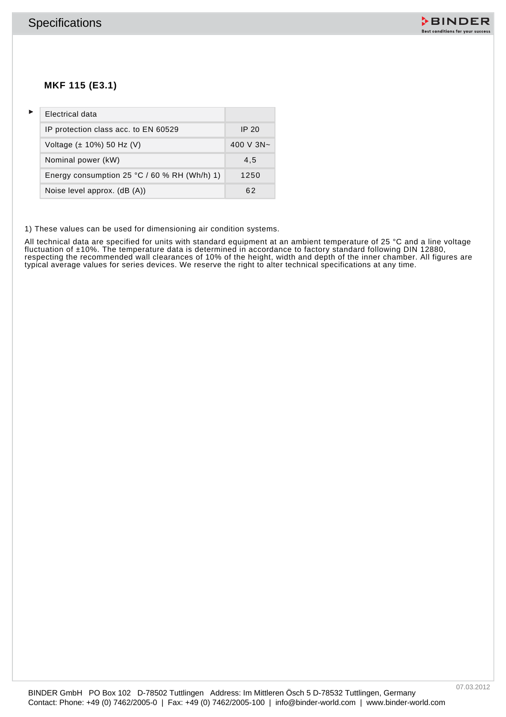

## **MKF 115 (E3.1)**

|   | <b>Specifications</b>                                                                                                                                                                                                 |              |  | <b>DBINDER</b><br>Best conditions for your success |
|---|-----------------------------------------------------------------------------------------------------------------------------------------------------------------------------------------------------------------------|--------------|--|----------------------------------------------------|
|   | MKF 115 (E3.1)                                                                                                                                                                                                        |              |  |                                                    |
| Þ | <b>Electrical data</b>                                                                                                                                                                                                |              |  |                                                    |
|   | IP protection class acc. to EN 60529                                                                                                                                                                                  | <b>IP 20</b> |  |                                                    |
|   | Voltage (± 10%) 50 Hz (V)                                                                                                                                                                                             | 400 V 3N~    |  |                                                    |
|   | Nominal power (kW)                                                                                                                                                                                                    | 4,5          |  |                                                    |
|   | Energy consumption 25 °C / 60 % RH (Wh/h) 1)                                                                                                                                                                          | 1250         |  |                                                    |
|   | Noise level approx. (dB (A))                                                                                                                                                                                          | 62           |  |                                                    |
|   | ypical average values for series devices. We reserve the right to alter technical specifications at any time.                                                                                                         |              |  |                                                    |
|   |                                                                                                                                                                                                                       |              |  |                                                    |
|   | BINDER GmbH PO Box 102 D-78502 Tuttlingen Address: Im Mittleren Ösch 5 D-78532 Tuttlingen, Germany<br>Contact: Phone: +49 (0) 7462/2005-0   Fax: +49 (0) 7462/2005-100   info@binder-world.com   www.binder-world.com |              |  | 07.03.2012                                         |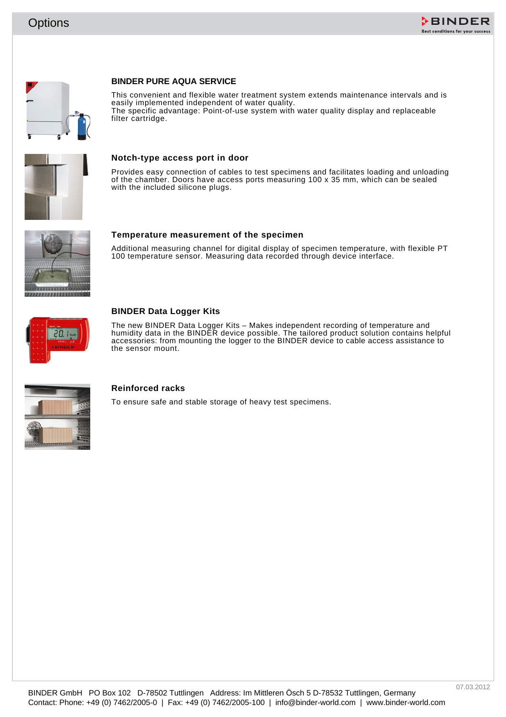





#### **BINDER PURE AQUA SERVICE**

Contact: Phone: +49 (2) 7462-2005-0 | Fax: +49 (2) 7462-2005-0 | info@binder-world.com | info@binder-world.com | info@binder-world.com | info@binder-world.com | info@binder-world.com | info@binder-world.com | info@binder-w This convenient and flexible water treatment system extends maintenance intervals and is easily implemented independent of water quality. The specific advantage: Point-of-use system with water quality display and replaceable filter cartridge.



#### **Notch-type access port in door**

Provides easy connection of cables to test specimens and facilitates loading and unloading of the chamber. Doors have access ports measuring 100 x 35 mm, which can be sealed with the included silicone plugs.



**Temperature measurement of the specimen**

Additional measuring channel for digital display of specimen temperature, with flexible PT 100 temperature sensor. Measuring data recorded through device interface.



#### **BINDER Data Logger Kits**

The new BINDER Data Logger Kits – Makes independent recording of temperature and humidity data in the BINDER device possible. The tailored product solution contains helpful accessories: from mounting the logger to the BINDER device to cable access assistance to the sensor mount.



#### **Reinforced racks**

To ensure safe and stable storage of heavy test specimens.